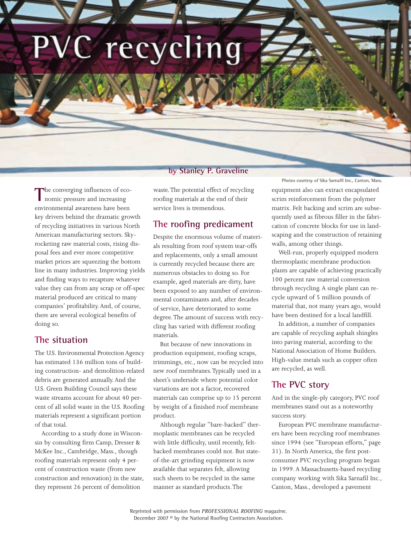PVC recycling

#### **by Stanley P. Graveline**

The converging influences of economic pressure and increasing environmental awareness have been key drivers behind the dramatic growth of recycling initiatives in various North American manufacturing sectors. Skyrocketing raw material costs, rising disposal fees and ever more competitive market prices are squeezing the bottom line in many industries. Improving yields and finding ways to recapture whatever value they can from any scrap or off-spec material produced are critical to many companies' profitability. And, of course, there are several ecological benefits of doing so.

## **The situation**

The U.S. Environmental Protection Agency has estimated 136 million tons of building construction- and demolition-related debris are generated annually. And the U.S. Green Building Council says these waste streams account for about 40 percent of all solid waste in the U.S. Roofing materials represent a significant portion of that total.

According to a study done in Wisconsin by consulting firm Camp, Dresser & McKee Inc., Cambridge, Mass., though roofing materials represent only 4 percent of construction waste (from new construction and renovation) in the state, they represent 26 percent of demolition

waste.The potential effect of recycling roofing materials at the end of their service lives is tremendous.

### **The roofing predicament**

Despite the enormous volume of materials resulting from roof system tear-offs and replacements, only a small amount is currently recycled because there are numerous obstacles to doing so. For example, aged materials are dirty, have been exposed to any number of environmental contaminants and, after decades of service, have deteriorated to some degree.The amount of success with recycling has varied with different roofing materials.

But because of new innovations in production equipment, roofing scraps, trimmings, etc., now can be recycled into new roof membranes.Typically used in a sheet's underside where potential color variations are not a factor, recovered materials can comprise up to 15 percent by weight of a finished roof membrane product.

Although regular "bare-backed" thermoplastic membranes can be recycled with little difficulty, until recently, feltbacked membranes could not. But stateof-the-art grinding equipment is now available that separates felt, allowing such sheets to be recycled in the same manner as standard products.The

Photos courtesy of Sika Sarnafil Inc., Canton, Mass.

equipment also can extract encapsulated scrim reinforcement from the polymer matrix. Felt backing and scrim are subsequently used as fibrous filler in the fabrication of concrete blocks for use in landscaping and the construction of retaining walls, among other things.

Well-run, properly equipped modern thermoplastic membrane production plants are capable of achieving practically 100 percent raw material conversion through recycling. A single plant can recycle upward of 5 million pounds of material that, not many years ago, would have been destined for a local landfill.

In addition, a number of companies are capable of recycling asphalt shingles into paving material, according to the National Association of Home Builders. High-value metals such as copper often are recycled, as well.

## **The PVC story**

And in the single-ply category, PVC roof membranes stand out as a noteworthy success story.

European PVC membrane manufacturers have been recycling roof membranes since 1994 (see "European efforts," page 31). In North America, the first postconsumer PVC recycling program began in 1999. A Massachusetts-based recycling company working with Sika Sarnafil Inc., Canton, Mass., developed a pavement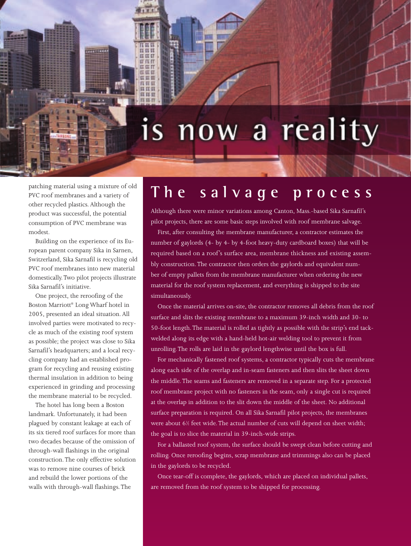# is now a reality

patching material using a mixture of old PVC roof membranes and a variety of other recycled plastics. Although the product was successful, the potential consumption of PVC membrane was modest.

**IT IT IT** 百百日 **CE FT** 耳面前 压容量 ппп EL EL ET 目耳目

Building on the experience of its European parent company Sika in Sarnen, Switzerland, Sika Sarnafil is recycling old PVC roof membranes into new material domestically.Two pilot projects illustrate Sika Sarnafil's initiative.

One project, the reroofing of the Boston Marriott® Long Wharf hotel in 2005, presented an ideal situation. All involved parties were motivated to recycle as much of the existing roof system as possible; the project was close to Sika Sarnafil's headquarters; and a local recycling company had an established program for recycling and reusing existing thermal insulation in addition to being experienced in grinding and processing the membrane material to be recycled.

The hotel has long been a Boston landmark. Unfortunately, it had been plagued by constant leakage at each of its six tiered roof surfaces for more than two decades because of the omission of through-wall flashings in the original construction.The only effective solution was to remove nine courses of brick and rebuild the lower portions of the walls with through-wall flashings.The

## **T h e s a l v a g e p r o c e s s**

Although there were minor variations among Canton, Mass.-based Sika Sarnafil's pilot projects, there are some basic steps involved with roof membrane salvage.

First, after consulting the membrane manufacturer, a contractor estimates the number of gaylords (4- by 4- by 4-foot heavy-duty cardboard boxes) that will be required based on a roof's surface area, membrane thickness and existing assembly construction.The contractor then orders the gaylords and equivalent number of empty pallets from the membrane manufacturer when ordering the new material for the roof system replacement, and everything is shipped to the site simultaneously.

Once the material arrives on-site, the contractor removes all debris from the roof surface and slits the existing membrane to a maximum 39-inch width and 30- to 50-foot length.The material is rolled as tightly as possible with the strip's end tackwelded along its edge with a hand-held hot-air welding tool to prevent it from unrolling.The rolls are laid in the gaylord lengthwise until the box is full.

For mechanically fastened roof systems, a contractor typically cuts the membrane along each side of the overlap and in-seam fasteners and then slits the sheet down the middle.The seams and fasteners are removed in a separate step. For a protected roof membrane project with no fasteners in the seam, only a single cut is required at the overlap in addition to the slit down the middle of the sheet. No additional surface preparation is required. On all Sika Sarnafil pilot projects, the membranes were about 61 ⁄2 feet wide.The actual number of cuts will depend on sheet width; the goal is to slice the material in 39-inch-wide strips.

For a ballasted roof system, the surface should be swept clean before cutting and rolling. Once reroofing begins, scrap membrane and trimmings also can be placed in the gaylords to be recycled.

Once tear-off is complete, the gaylords, which are placed on individual pallets, are removed from the roof system to be shipped for processing.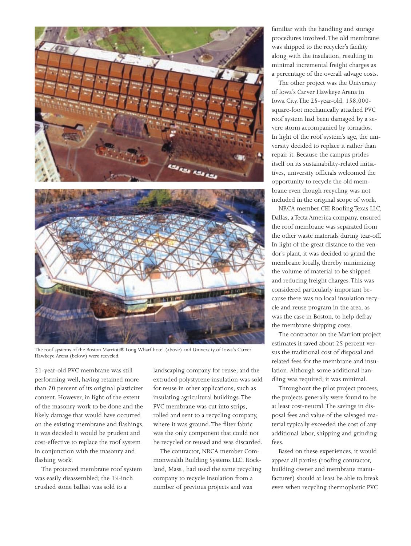



The roof systems of the Boston Marriott® Long Wharf hotel (above) and University of Iowa's Carver Hawkeye Arena (below) were recycled.

21-year-old PVC membrane was still performing well, having retained more than 70 percent of its original plasticizer content. However, in light of the extent of the masonry work to be done and the likely damage that would have occurred on the existing membrane and flashings, it was decided it would be prudent and cost-effective to replace the roof system in conjunction with the masonry and flashing work.

The protected membrane roof system was easily disassembled; the 1¼-inch crushed stone ballast was sold to a

landscaping company for reuse; and the extruded polystyrene insulation was sold for reuse in other applications, such as insulating agricultural buildings.The PVC membrane was cut into strips, rolled and sent to a recycling company, where it was ground.The filter fabric was the only component that could not be recycled or reused and was discarded.

The contractor, NRCA member Commonwealth Building Systems LLC, Rockland, Mass., had used the same recycling company to recycle insulation from a number of previous projects and was

familiar with the handling and storage procedures involved.The old membrane was shipped to the recycler's facility along with the insulation, resulting in minimal incremental freight charges as a percentage of the overall salvage costs.

The other project was the University of Iowa's Carver Hawkeye Arena in Iowa City.The 25-year-old, 158,000 square-foot mechanically attached PVC roof system had been damaged by a severe storm accompanied by tornados. In light of the roof system's age, the university decided to replace it rather than repair it. Because the campus prides itself on its sustainability-related initiatives, university officials welcomed the opportunity to recycle the old membrane even though recycling was not included in the original scope of work.

NRCA member CEI Roofing Texas LLC, Dallas, a Tecta America company, ensured the roof membrane was separated from the other waste materials during tear-off. In light of the great distance to the vendor's plant, it was decided to grind the membrane locally, thereby minimizing the volume of material to be shipped and reducing freight charges.This was considered particularly important because there was no local insulation recycle and reuse program in the area, as was the case in Boston, to help defray the membrane shipping costs.

The contractor on the Marriott project estimates it saved about 25 percent versus the traditional cost of disposal and related fees for the membrane and insulation. Although some additional handling was required, it was minimal.

Throughout the pilot project process, the projects generally were found to be at least cost-neutral.The savings in disposal fees and value of the salvaged material typically exceeded the cost of any additional labor, shipping and grinding fees.

Based on these experiences, it would appear all parties (roofing contractor, building owner and membrane manufacturer) should at least be able to break even when recycling thermoplastic PVC